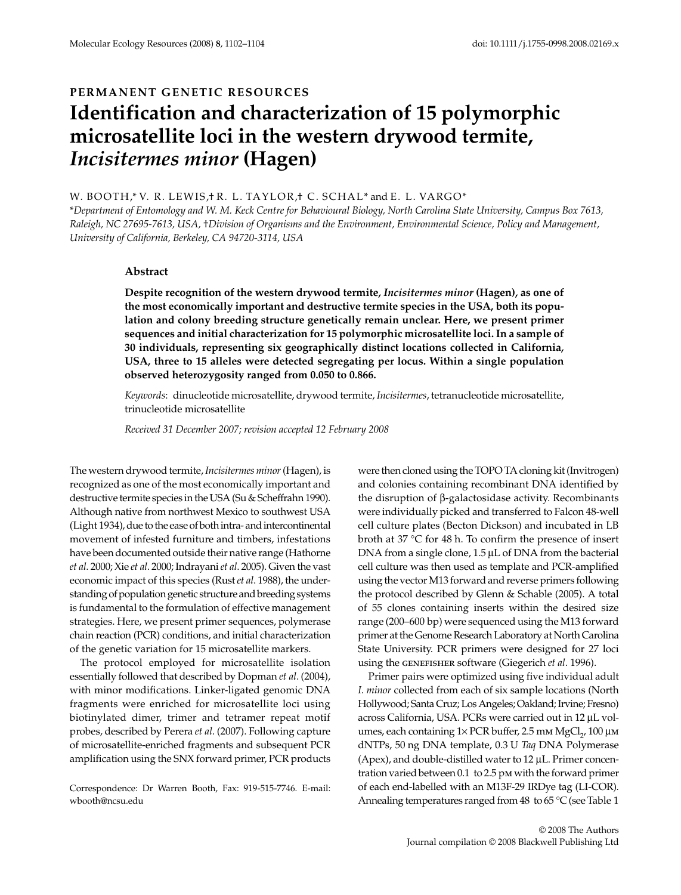## PERMANENT GENETIC RESOURCES

# **Identification and characterization of 15 polymorphic microsatellite loci in the western drywood termite,**  *Incisitermes minor* **(Hagen)**

## W. BOOTH,\* V. R. LEWIS,† R. L. TAYLOR,† C. SCHAL\* and E. L. VARGO\*

\**Department of Entomology and W. M. Keck Centre for Behavioural Biology, North Carolina State University, Campus Box 7613, Raleigh, NC 27695-7613, USA,* †*Division of Organisms and the Environment, Environmental Science, Policy and Management, University of California, Berkeley, CA 94720-3114, USA*

## **Abstract**

**Despite recognition of the western drywood termite,** *Incisitermes minor* **(Hagen), as one of the most economically important and destructive termite species in the USA, both its population and colony breeding structure genetically remain unclear. Here, we present primer sequences and initial characterization for 15 polymorphic microsatellite loci. In a sample of 30 individuals, representing six geographically distinct locations collected in California, USA, three to 15 alleles were detected segregating per locus. Within a single population observed heterozygosity ranged from 0.050 to 0.866.**

*Keywords*: dinucleotide microsatellite, drywood termite, *Incisitermes*, tetranucleotide microsatellite, trinucleotide microsatellite

*Received 31 December 2007; revision accepted 12 February 2008*

The western drywood termite, *Incisitermes minor* (Hagen), is recognized as one of the most economically important and destructive termite species in the USA (Su & Scheffrahn 1990). Although native from northwest Mexico to southwest USA (Light 1934), due to the ease of both intra- and intercontinental movement of infested furniture and timbers, infestations have been documented outside their native range (Hathorne *et al*. 2000; Xie *et al*. 2000; Indrayani *et al*. 2005). Given the vast economic impact of this species (Rust *et al*. 1988), the understanding of population genetic structure and breeding systems is fundamental to the formulation of effective management strategies. Here, we present primer sequences, polymerase chain reaction (PCR) conditions, and initial characterization of the genetic variation for 15 microsatellite markers.

The protocol employed for microsatellite isolation essentially followed that described by Dopman *et al*. (2004), with minor modifications. Linker-ligated genomic DNA fragments were enriched for microsatellite loci using biotinylated dimer, trimer and tetramer repeat motif probes, described by Perera *et al*. (2007). Following capture of microsatellite-enriched fragments and subsequent PCR amplification using the SNX forward primer, PCR products

Correspondence: Dr Warren Booth, Fax: 919-515-7746. E-mail: wbooth@ncsu.edu

were then cloned using the TOPO TA cloning kit (Invitrogen) and colonies containing recombinant DNA identified by the disruption of β-galactosidase activity. Recombinants were individually picked and transferred to Falcon 48-well cell culture plates (Becton Dickson) and incubated in LB broth at 37 °C for 48 h. To confirm the presence of insert DNA from a single clone, 1.5 μL of DNA from the bacterial cell culture was then used as template and PCR-amplified using the vector M13 forward and reverse primers following the protocol described by Glenn & Schable (2005). A total of 55 clones containing inserts within the desired size range (200–600 bp) were sequenced using the M13 forward primer at the Genome Research Laboratory at North Carolina State University. PCR primers were designed for 27 loci using the genefisher software (Giegerich *et al*. 1996).

Primer pairs were optimized using five individual adult *I. minor* collected from each of six sample locations (North Hollywood; Santa Cruz; Los Angeles; Oakland; Irvine; Fresno) across California, USA. PCRs were carried out in 12 μL volumes, each containing  $1 \times$  PCR buffer, 2.5 mm MgCl<sub>2</sub>, 100 μm dNTPs, 50 ng DNA template, 0.3 U *Taq* DNA Polymerase (Apex), and double-distilled water to 12 μL. Primer concentration varied between 0.1 to 2.5 pm with the forward primer of each end-labelled with an M13F-29 IRDye tag (LI-COR). Annealing temperatures ranged from 48 to 65  $\degree$ C (see Table 1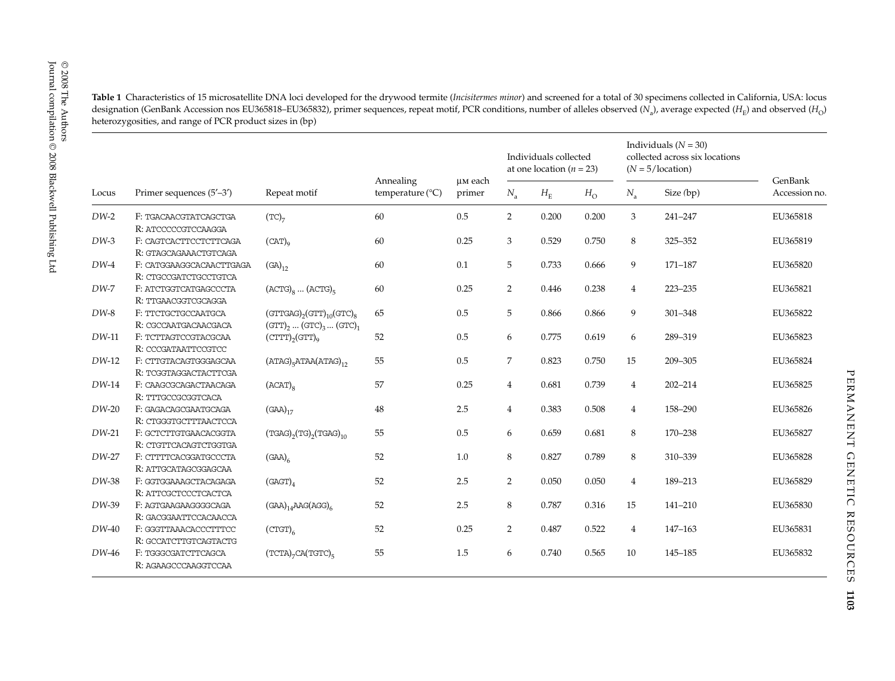| ര          |                                                                                                                                                                                                                                                                                                                                                                                                                                                                                 |
|------------|---------------------------------------------------------------------------------------------------------------------------------------------------------------------------------------------------------------------------------------------------------------------------------------------------------------------------------------------------------------------------------------------------------------------------------------------------------------------------------|
| $^{\circ}$ |                                                                                                                                                                                                                                                                                                                                                                                                                                                                                 |
|            | Table 1 Characteristics of 15 microsatellite DNA loci developed for the drywood termite (Incisitermes minor) and screened for a total of 30 specimens collected in California, USA: locus<br>designation (GenBank Accession nos EU365818–EU365832), primer sequences, repeat motif, PCR conditions, number of alleles observed (N <sub>o</sub> ), average expected (H <sub>c</sub> ) and observed (H <sub>c</sub> )<br>heterozygosities, and range of PCR product sizes in (bp) |
|            |                                                                                                                                                                                                                                                                                                                                                                                                                                                                                 |

|         | Primer sequences (5'-3')                          | Repeat motif                                                                                                         | Annealing<br>temperature $(^{\circ}C)$ | uм each<br>primer | Individuals collected<br>at one location ( $n = 23$ ) |             |             | Individuals $(N = 30)$<br>collected across six locations<br>$(N = 5/location)$ |             |                          |
|---------|---------------------------------------------------|----------------------------------------------------------------------------------------------------------------------|----------------------------------------|-------------------|-------------------------------------------------------|-------------|-------------|--------------------------------------------------------------------------------|-------------|--------------------------|
| Locus   |                                                   |                                                                                                                      |                                        |                   | $N_{\rm a}$                                           | $H_{\rm E}$ | $H_{\rm O}$ | $N_{\rm a}$                                                                    | Size (bp)   | GenBank<br>Accession no. |
| $DW-2$  | F: TGACAACGTATCAGCTGA<br>R: ATCCCCCGTCCAAGGA      | $(TC)$ <sub>7</sub>                                                                                                  | 60                                     | 0.5               | $\overline{2}$                                        | 0.200       | 0.200       | 3                                                                              | 241-247     | EU365818                 |
| $DW-3$  | F: CAGTCACTTCCTCTTCAGA<br>R: GTAGCAGAAACTGTCAGA   | $(CAT)_{q}$                                                                                                          | 60                                     | 0.25              | 3                                                     | 0.529       | 0.750       | 8                                                                              | 325-352     | EU365819                 |
| $DW-4$  | F: CATGGAAGGCACAACTTGAGA<br>R: CTGCCGATCTGCCTGTCA | $(GA)_{12}$                                                                                                          | 60                                     | 0.1               | 5                                                     | 0.733       | 0.666       | 9                                                                              | 171-187     | EU365820                 |
| $DW-7$  | F: ATCTGGTCATGAGCCCTA<br>R: TTGAACGGTCGCAGGA      | $(ACTG)_{8}$ $(ACTG)_{5}$                                                                                            | 60                                     | 0.25              | $\overline{2}$                                        | 0.446       | 0.238       | 4                                                                              | 223-235     | EU365821                 |
| $DW-8$  | F: TTCTGCTGCCAATGCA<br>R: CGCCAATGACAACGACA       | $(\text{GTTGAG})_2(\text{GTT})_{10}(\text{GTC})_8$<br>$(GTT)$ <sub>2</sub> $(GTC)$ <sub>3</sub> $(GTC)$ <sub>1</sub> | 65                                     | 0.5               | 5                                                     | 0.866       | 0.866       | 9                                                                              | 301-348     | EU365822                 |
| $DW-11$ | F: TCTTAGTCCGTACGCAA<br>R: CCCGATAATTCCGTCC       | $(\text{CTTT})_{2}(\text{GTT})_{0}$                                                                                  | 52                                     | 0.5               | 6                                                     | 0.775       | 0.619       | 6                                                                              | 289-319     | EU365823                 |
| $DW-12$ | F: CTTGTACAGTGGGAGCAA<br>R: TCGGTAGGACTACTTCGA    | $(ATAG)_{5}ATAA(ATAG)_{12}$                                                                                          | 55                                     | 0.5               | 7                                                     | 0.823       | 0.750       | 15                                                                             | 209-305     | EU365824                 |
| $DW-14$ | F: CAAGCGCAGACTAACAGA<br>R: TTTGCCGCGGTCACA       | $(ACAT)_{8}$                                                                                                         | 57                                     | 0.25              | $\overline{4}$                                        | 0.681       | 0.739       | $\overline{4}$                                                                 | $202 - 214$ | EU365825                 |
| $DW-20$ | F: GAGACAGCGAATGCAGA<br>R: CTGGGTGCTTTAACTCCA     | $(GAA)_{17}$                                                                                                         | 48                                     | 2.5               | $\overline{4}$                                        | 0.383       | 0.508       | 4                                                                              | 158-290     | EU365826                 |
| $DW-21$ | F: GCTCTTGTGAACACGGTA<br>R: CTGTTCACAGTCTGGTGA    | $(TGAG)$ <sub>2</sub> $(TG)$ <sub>2</sub> $(TGAG)$ <sub>10</sub>                                                     | 55                                     | 0.5               | 6                                                     | 0.659       | 0.681       | 8                                                                              | 170-238     | EU365827                 |
| DW-27   | F: CTTTTCACGGATGCCCTA<br>R: ATTGCATAGCGGAGCAA     | $(GAA)_{6}$                                                                                                          | 52                                     | 1.0               | 8                                                     | 0.827       | 0.789       | 8                                                                              | 310-339     | EU365828                 |
| $DW-38$ | F: GGTGGAAAGCTACAGAGA<br>R: ATTCGCTCCCTCACTCA     | $(GAGT)_{4}$                                                                                                         | 52                                     | 2.5               | $\overline{2}$                                        | 0.050       | 0.050       | 4                                                                              | 189-213     | EU365829                 |
| $DW-39$ | F: AGTGAAGAAGGGGCAGA<br>R: GACGGAATTCCACAACCA     | $(GAA)_{14}AAG(AGG)_{6}$                                                                                             | 52                                     | 2.5               | 8                                                     | 0.787       | 0.316       | 15                                                                             | 141-210     | EU365830                 |
| $DW-40$ | F: GGGTTAAACACCCTTTCC<br>R: GCCATCTTGTCAGTACTG    | $(\text{CTGT})_{6}$                                                                                                  | 52                                     | 0.25              | $\overline{2}$                                        | 0.487       | 0.522       | $\overline{4}$                                                                 | 147-163     | EU365831                 |
| DW-46   | F: TGGGCGATCTTCAGCA<br>R: AGAAGCCCAAGGTCCAA       | $(TCTA)$ <sub>7</sub> $CA(TGTC)$ <sub>5</sub>                                                                        | 55                                     | 1.5               | 6                                                     | 0.740       | 0.565       | 10                                                                             | 145-185     | EU365832                 |